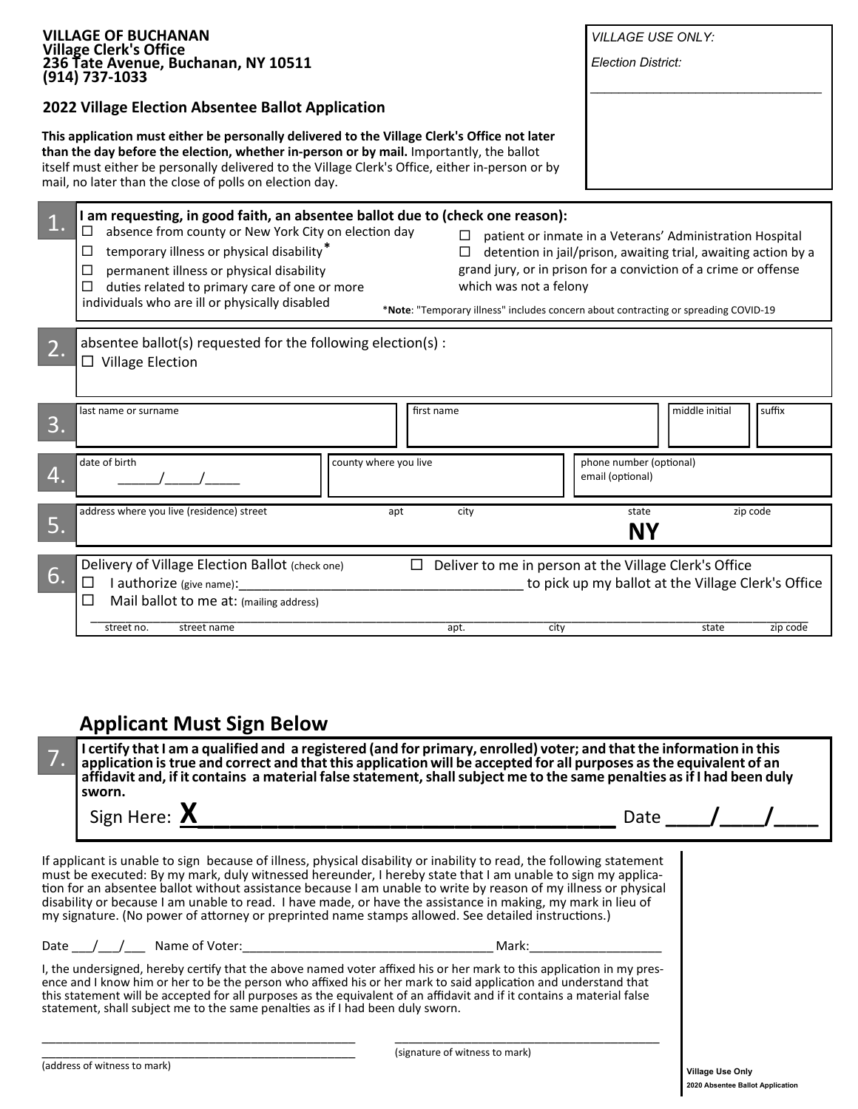| <b>VILLAGE OF BUCHANAN</b>                                                                                                                                                                                                                                                                                                                             | <b>VILLAGE USE ONLY:</b>                                                                                    |
|--------------------------------------------------------------------------------------------------------------------------------------------------------------------------------------------------------------------------------------------------------------------------------------------------------------------------------------------------------|-------------------------------------------------------------------------------------------------------------|
| <b>Village Clerk's Office</b><br>236 Tate Avenue, Buchanan, NY 10511                                                                                                                                                                                                                                                                                   | <b>Election District:</b>                                                                                   |
| (914) 737-1033                                                                                                                                                                                                                                                                                                                                         |                                                                                                             |
| 2022 Village Election Absentee Ballot Application                                                                                                                                                                                                                                                                                                      |                                                                                                             |
| This application must either be personally delivered to the Village Clerk's Office not later<br>than the day before the election, whether in-person or by mail. Importantly, the ballot<br>itself must either be personally delivered to the Village Clerk's Office, either in-person or by<br>mail, no later than the close of polls on election day. |                                                                                                             |
| I am requesting, in good faith, an absentee ballot due to (check one reason):                                                                                                                                                                                                                                                                          |                                                                                                             |
| absence from county or New York City on election day<br>ப<br>⊔                                                                                                                                                                                                                                                                                         | patient or inmate in a Veterans' Administration Hospital                                                    |
| temporary illness or physical disability*<br>ப<br>⊔                                                                                                                                                                                                                                                                                                    | detention in jail/prison, awaiting trial, awaiting action by a                                              |
| $\Box$<br>permanent illness or physical disability<br>which was not a felony<br>duties related to primary care of one or more<br>⊔                                                                                                                                                                                                                     | grand jury, or in prison for a conviction of a crime or offense                                             |
| individuals who are ill or physically disabled                                                                                                                                                                                                                                                                                                         | *Note: "Temporary illness" includes concern about contracting or spreading COVID-19                         |
|                                                                                                                                                                                                                                                                                                                                                        |                                                                                                             |
| absentee ballot(s) requested for the following election(s) :                                                                                                                                                                                                                                                                                           |                                                                                                             |
| $\Box$ Village Election                                                                                                                                                                                                                                                                                                                                |                                                                                                             |
|                                                                                                                                                                                                                                                                                                                                                        |                                                                                                             |
| first name<br>last name or surname                                                                                                                                                                                                                                                                                                                     | middle initial<br>suffix                                                                                    |
| 3.                                                                                                                                                                                                                                                                                                                                                     |                                                                                                             |
| date of birth<br>county where you live                                                                                                                                                                                                                                                                                                                 | phone number (optional)                                                                                     |
| 4.                                                                                                                                                                                                                                                                                                                                                     | email (optional)                                                                                            |
|                                                                                                                                                                                                                                                                                                                                                        |                                                                                                             |
|                                                                                                                                                                                                                                                                                                                                                        | state<br>zip code                                                                                           |
| address where you live (residence) street<br>city<br>apt                                                                                                                                                                                                                                                                                               |                                                                                                             |
| 5.                                                                                                                                                                                                                                                                                                                                                     | NΥ                                                                                                          |
| ப                                                                                                                                                                                                                                                                                                                                                      |                                                                                                             |
| Delivery of Village Election Ballot (check one)<br>6.<br>□<br>I authorize (give name):                                                                                                                                                                                                                                                                 | Deliver to me in person at the Village Clerk's Office<br>to pick up my ballot at the Village Clerk's Office |
| Mail ballot to me at: (mailing address)<br>$\Box$                                                                                                                                                                                                                                                                                                      |                                                                                                             |
| street no.<br>street name<br>apt.                                                                                                                                                                                                                                                                                                                      | city<br>state<br>zip code                                                                                   |
|                                                                                                                                                                                                                                                                                                                                                        |                                                                                                             |
|                                                                                                                                                                                                                                                                                                                                                        |                                                                                                             |
|                                                                                                                                                                                                                                                                                                                                                        |                                                                                                             |
|                                                                                                                                                                                                                                                                                                                                                        |                                                                                                             |
| <b>Applicant Must Sign Below</b>                                                                                                                                                                                                                                                                                                                       |                                                                                                             |
| I certify that I am a qualified and a registered (and for primary, enrolled) voter; and that the information in this                                                                                                                                                                                                                                   |                                                                                                             |
| application is true and correct and that this application will be accepted for all purposes as the equivalent of an<br>affidavit and, if it contains a material false statement, shall subject me to the same penalties as if I had been duly                                                                                                          |                                                                                                             |
| sworn.                                                                                                                                                                                                                                                                                                                                                 |                                                                                                             |
| Sign Here: X                                                                                                                                                                                                                                                                                                                                           | Date $\sqrt{ }$                                                                                             |

If applicant is unable to sign because of illness, physical disability or inability to read, the following statement must be executed: By my mark, duly witnessed hereunder, I hereby state that I am unable to sign my application for an absentee ballot without assistance because I am unable to write by reason of my illness or physical disability or because I am unable to read. I have made, or have the assistance in making, my mark in lieu of my signature. (No power of attorney or preprinted name stamps allowed. See detailed instructions.)

Date \_\_\_/\_\_\_/\_\_\_ Name of Voter:\_\_\_\_\_\_\_\_\_\_\_\_\_\_\_\_\_\_\_\_\_\_\_\_\_\_\_\_\_\_\_\_\_\_\_\_ Mark:\_\_\_\_\_\_\_\_\_\_\_\_\_\_\_\_\_\_\_

I, the undersigned, hereby certify that the above named voter affixed his or her mark to this application in my presence and I know him or her to be the person who affixed his or her mark to said application and understand that this statement will be accepted for all purposes as the equivalent of an affidavit and if it contains a material false statement, shall subject me to the same penalties as if I had been duly sworn.

\_\_\_\_\_\_\_\_\_\_\_\_\_\_\_\_\_\_\_\_\_\_\_\_\_\_\_\_\_\_\_\_\_\_\_\_\_\_\_\_\_\_\_\_\_ \_\_\_\_\_\_\_\_\_\_\_\_\_\_\_\_\_\_\_\_\_\_\_\_\_\_\_\_\_\_\_\_\_\_\_\_\_\_

(signature of witness to mark)